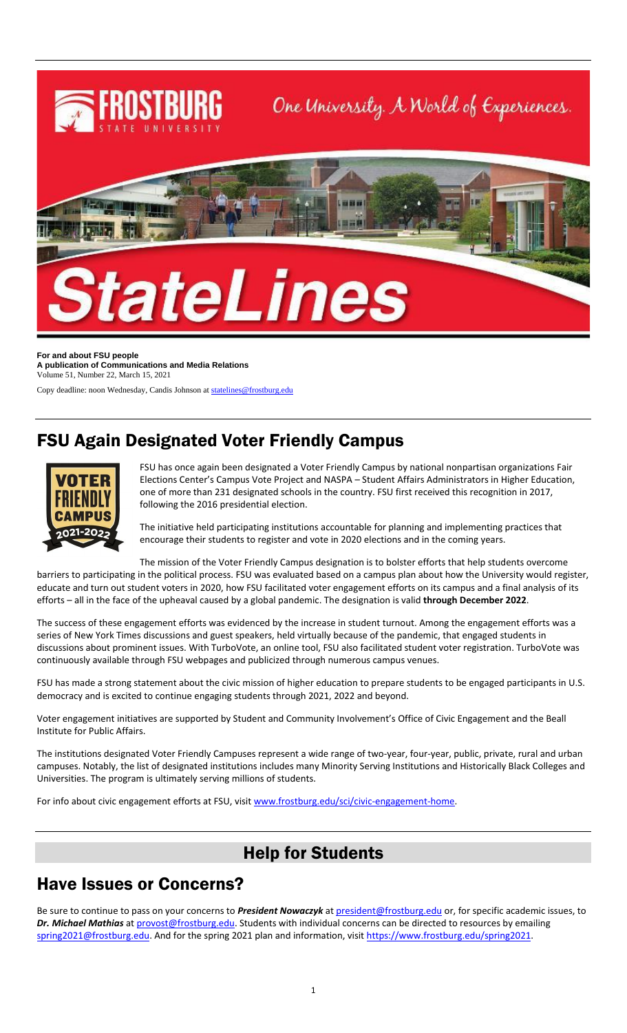

**For and about FSU people A publication of Communications and Media Relations** Volume 51, Number 22, March 15, 2021

Copy deadline: noon Wednesday, Candis Johnson a[t statelines@frostburg.edu](mailto:statelines@frostburg.edu)

### FSU Again Designated Voter Friendly Campus



FSU has once again been designated a Voter Friendly Campus by national nonpartisan organizations Fair Elections Center's Campus Vote Project and NASPA – Student Affairs Administrators in Higher Education, one of more than 231 designated schools in the country. FSU first received this recognition in 2017, following the 2016 presidential election.

The initiative held participating institutions accountable for planning and implementing practices that encourage their students to register and vote in 2020 elections and in the coming years.

The mission of the Voter Friendly Campus designation is to bolster efforts that help students overcome

barriers to participating in the political process. FSU was evaluated based on a campus plan about how the University would register, educate and turn out student voters in 2020, how FSU facilitated voter engagement efforts on its campus and a final analysis of its efforts – all in the face of the upheaval caused by a global pandemic. The designation is valid **through December 2022**.

The success of these engagement efforts was evidenced by the increase in student turnout. Among the engagement efforts was a series of New York Times discussions and guest speakers, held virtually because of the pandemic, that engaged students in discussions about prominent issues. With TurboVote, an online tool, FSU also facilitated student voter registration. TurboVote was continuously available through FSU webpages and publicized through numerous campus venues.

FSU has made a strong statement about the civic mission of higher education to prepare students to be engaged participants in U.S. democracy and is excited to continue engaging students through 2021, 2022 and beyond.

Voter engagement initiatives are supported by Student and Community Involvement's Office of Civic Engagement and the Beall Institute for Public Affairs.

The institutions designated Voter Friendly Campuses represent a wide range of two-year, four-year, public, private, rural and urban campuses. Notably, the list of designated institutions includes many Minority Serving Institutions and Historically Black Colleges and Universities. The program is ultimately serving millions of students.

For info about civic engagement efforts at FSU, visi[t www.frostburg.edu/sci/civic-engagement-home.](http://www.frostburg.edu/sci/civic-engagement-home)

#### Help for Students

#### Have Issues or Concerns?

Be sure to continue to pass on your concerns to *President Nowaczyk* at [president@frostburg.edu](mailto:president@frostburg.edu) or, for specific academic issues, to *Dr. Michael Mathias* a[t provost@frostburg.edu.](mailto:provost@frostburg.edu) Students with individual concerns can be directed to resources by emailing [spring2021@frostburg.edu.](mailto:spring2021@frostburg.edu) And for the spring 2021 plan and information, visit https://www.frostburg.edu/spring2021.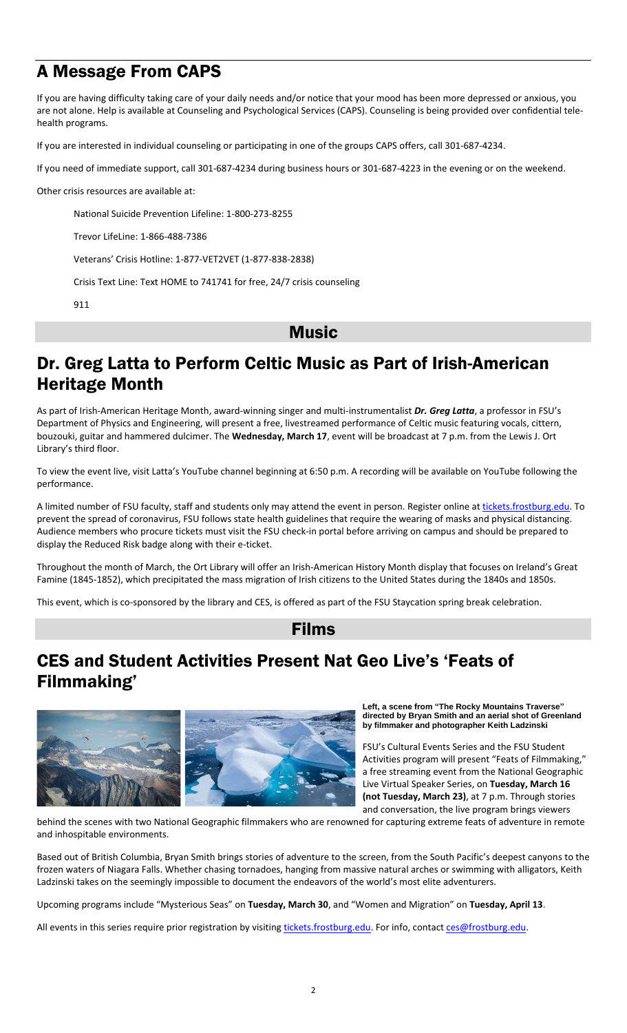## A Message From CAPS

If you are having difficulty taking care of your daily needs and/or notice that your mood has been more depressed or anxious, you are not alone. Help is available at Counseling and Psychological Services (CAPS). Counseling is being provided over confidential telehealth programs.

If you are interested in individual counseling or participating in one of the groups CAPS offers, call 301-687-4234.

If you need of immediate support, call 301-687-4234 during business hours or 301-687-4223 in the evening or on the weekend.

Other crisis resources are available at:

National Suicide Prevention Lifeline: 1-800-273-8255

Trevor LifeLine: 1-866-488-7386

Veterans' Crisis Hotline: 1-877-VET2VET (1-877-838-2838)

Crisis Text Line: Text HOME to 741741 for free, 24/7 crisis counseling

911

**Music** 

## Dr. Greg Latta to Perform Celtic Music as Part of Irish-American Heritage Month

As part of Irish-American Heritage Month, award-winning singer and multi-instrumentalist *Dr. Greg Latta*, a professor in FSU's Department of Physics and Engineering, will present a free, livestreamed performance of Celtic music featuring vocals, cittern, bouzouki, guitar and hammered dulcimer. The **Wednesday, March 17**, event will be broadcast at 7 p.m. from the Lewis J. Ort Library's third floor.

To view the event live, visit Latta's YouTube channel beginning at 6:50 p.m. A recording will be available on YouTube following the performance.

A limited number of FSU faculty, staff and students only may attend the event in person. Register online at [tickets.frostburg.edu.](https://frostburgtix.universitytickets.com/) To prevent the spread of coronavirus, FSU follows state health guidelines that require the wearing of masks and physical distancing. Audience members who procure tickets must visit the FSU check-in portal before arriving on campus and should be prepared to display the Reduced Risk badge along with their e-ticket.

Throughout the month of March, the Ort Library will offer an Irish-American History Month display that focuses on Ireland's Great Famine (1845-1852), which precipitated the mass migration of Irish citizens to the United States during the 1840s and 1850s.

This event, which is co-sponsored by the library and CES, is offered as part of the FSU Staycation spring break celebration.

#### Films

### CES and Student Activities Present Nat Geo Live's 'Feats of Filmmaking'



**Left, a scene from "The Rocky Mountains Traverse" directed by Bryan Smith and an aerial shot of Greenland by filmmaker and photographer Keith Ladzinski**

FSU's Cultural Events Series and the FSU Student Activities program will present "Feats of Filmmaking," a free streaming event from the National Geographic Live Virtual Speaker Series, on **Tuesday, March 16 (not Tuesday, March 23)**, at 7 p.m. Through stories and conversation, the live program brings viewers

behind the scenes with two National Geographic filmmakers who are renowned for capturing extreme feats of adventure in remote and inhospitable environments.

Based out of British Columbia, Bryan Smith brings stories of adventure to the screen, from the South Pacific's deepest canyons to the frozen waters of Niagara Falls. Whether chasing tornadoes, hanging from massive natural arches or swimming with alligators, Keith Ladzinski takes on the seemingly impossible to document the endeavors of the world's most elite adventurers.

Upcoming programs include "Mysterious Seas" on **Tuesday, March 30**, and "Women and Migration" on **Tuesday, April 13**.

All events in this series require prior registration by visiting [tickets.frostburg.edu.](https://frostburgtix.universitytickets.com/) For info, contac[t ces@frostburg.edu.](mailto:ces@frostburg.edu)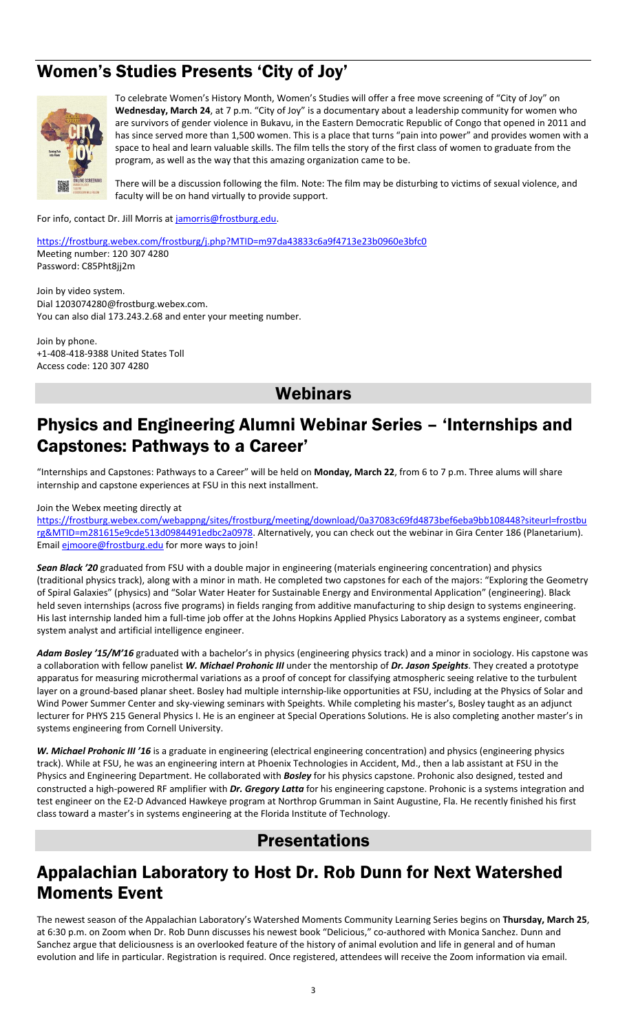## Women's Studies Presents 'City of Joy'



To celebrate Women's History Month, Women's Studies will offer a free move screening of "City of Joy" on **Wednesday, March 24**, at 7 p.m. "City of Joy" is a documentary about a leadership community for women who are survivors of gender violence in Bukavu, in the Eastern Democratic Republic of Congo that opened in 2011 and has since served more than 1,500 women. This is a place that turns "pain into power" and provides women with a space to heal and learn valuable skills. The film tells the story of the first class of women to graduate from the program, as well as the way that this amazing organization came to be.

There will be a discussion following the film. Note: The film may be disturbing to victims of sexual violence, and faculty will be on hand virtually to provide support.

For info, contact Dr. Jill Morris at [jamorris@frostburg.edu.](mailto:jamorris@frostburg.edu)

<https://frostburg.webex.com/frostburg/j.php?MTID=m97da43833c6a9f4713e23b0960e3bfc0> Meeting number: 120 307 4280 Password: C85Pht8jj2m

Join by video system. Dial 1203074280@frostburg.webex.com. You can also dial 173.243.2.68 and enter your meeting number.

Join by phone. +1-408-418-9388 United States Toll Access code: 120 307 4280

#### **Webinars**

#### Physics and Engineering Alumni Webinar Series – 'Internships and Capstones: Pathways to a Career'

"Internships and Capstones: Pathways to a Career" will be held on **Monday, March 22**, from 6 to 7 p.m. Three alums will share internship and capstone experiences at FSU in this next installment.

Join the Webex meeting directly at

[https://frostburg.webex.com/webappng/sites/frostburg/meeting/download/0a37083c69fd4873bef6eba9bb108448?siteurl=frostbu](https://frostburg.webex.com/webappng/sites/frostburg/meeting/download/0a37083c69fd4873bef6eba9bb108448?siteurl=frostburg&MTID=m281615e9cde513d0984491edbc2a0978) [rg&MTID=m281615e9cde513d0984491edbc2a0978.](https://frostburg.webex.com/webappng/sites/frostburg/meeting/download/0a37083c69fd4873bef6eba9bb108448?siteurl=frostburg&MTID=m281615e9cde513d0984491edbc2a0978) Alternatively, you can check out the webinar in Gira Center 186 (Planetarium). Email **ejmoore@frostburg.edu** for more ways to join!

*Sean Black '20* graduated from FSU with a double major in engineering (materials engineering concentration) and physics (traditional physics track), along with a minor in math. He completed two capstones for each of the majors: "Exploring the Geometry of Spiral Galaxies" (physics) and "Solar Water Heater for Sustainable Energy and Environmental Application" (engineering). Black held seven internships (across five programs) in fields ranging from additive manufacturing to ship design to systems engineering. His last internship landed him a full-time job offer at the Johns Hopkins Applied Physics Laboratory as a systems engineer, combat system analyst and artificial intelligence engineer.

*Adam Bosley '15/M'16* graduated with a bachelor's in physics (engineering physics track) and a minor in sociology. His capstone was a collaboration with fellow panelist *W. Michael Prohonic III* under the mentorship of *Dr. Jason Speights*. They created a prototype apparatus for measuring microthermal variations as a proof of concept for classifying atmospheric seeing relative to the turbulent layer on a ground-based planar sheet. Bosley had multiple internship-like opportunities at FSU, including at the Physics of Solar and Wind Power Summer Center and sky-viewing seminars with Speights. While completing his master's, Bosley taught as an adjunct lecturer for PHYS 215 General Physics I. He is an engineer at Special Operations Solutions. He is also completing another master's in systems engineering from Cornell University.

*W. Michael Prohonic III '16* is a graduate in engineering (electrical engineering concentration) and physics (engineering physics track). While at FSU, he was an engineering intern at Phoenix Technologies in Accident, Md., then a lab assistant at FSU in the Physics and Engineering Department. He collaborated with *Bosley* for his physics capstone. Prohonic also designed, tested and constructed a high-powered RF amplifier with *Dr. Gregory Latta* for his engineering capstone. Prohonic is a systems integration and test engineer on the E2-D Advanced Hawkeye program at Northrop Grumman in Saint Augustine, Fla. He recently finished his first class toward a master's in systems engineering at the Florida Institute of Technology.

#### Presentations

### Appalachian Laboratory to Host Dr. Rob Dunn for Next Watershed Moments Event

The newest season of the Appalachian Laboratory's Watershed Moments Community Learning Series begins on **Thursday, March 25**, at 6:30 p.m. on Zoom when Dr. Rob Dunn discusses his newest book "Delicious," co-authored with Monica Sanchez. Dunn and Sanchez argue that deliciousness is an overlooked feature of the history of animal evolution and life in general and of human evolution and life in particular. Registration is required. Once registered, attendees will receive the Zoom information via email.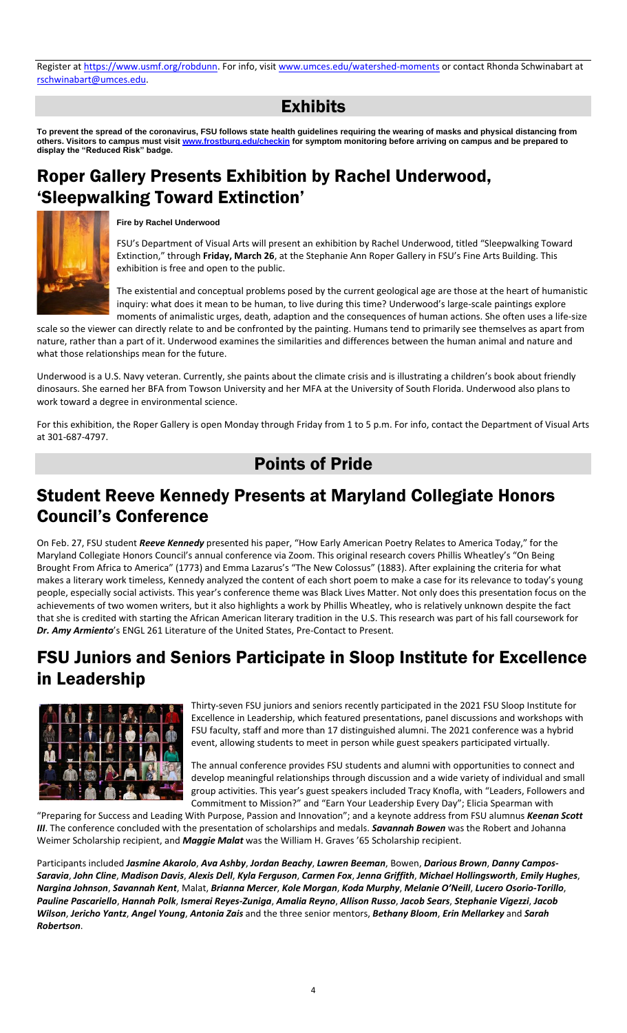Register at [https://www.usmf.org/robdunn.](https://www.usmf.org/robdunn) For info, visit [www.umces.edu/watershed-moments](http://www.umces.edu/watershed-moments) or contact Rhonda Schwinabart at [rschwinabart@umces.edu.](mailto:rschwinabart@umces.edu)

### Exhibits

**To prevent the spread of the coronavirus, FSU follows state health guidelines requiring the wearing of masks and physical distancing from others. Visitors to campus must visit [www.frostburg.edu/checkin](http://www.frostburg.edu/checkin) for symptom monitoring before arriving on campus and be prepared to display the "Reduced Risk" badge.**

## Roper Gallery Presents Exhibition by Rachel Underwood, 'Sleepwalking Toward Extinction'



#### **Fire by Rachel Underwood**

FSU's Department of Visual Arts will present an exhibition by Rachel Underwood, titled "Sleepwalking Toward Extinction," through **Friday, March 26**, at the Stephanie Ann Roper Gallery in FSU's Fine Arts Building. This exhibition is free and open to the public.

The existential and conceptual problems posed by the current geological age are those at the heart of humanistic inquiry: what does it mean to be human, to live during this time? Underwood's large-scale paintings explore moments of animalistic urges, death, adaption and the consequences of human actions. She often uses a life-size

scale so the viewer can directly relate to and be confronted by the painting. Humans tend to primarily see themselves as apart from nature, rather than a part of it. Underwood examines the similarities and differences between the human animal and nature and what those relationships mean for the future.

Underwood is a U.S. Navy veteran. Currently, she paints about the climate crisis and is illustrating a children's book about friendly dinosaurs. She earned her BFA from Towson University and her MFA at the University of South Florida. Underwood also plans to work toward a degree in environmental science.

For this exhibition, the Roper Gallery is open Monday through Friday from 1 to 5 p.m. For info, contact the Department of Visual Arts at 301-687-4797.

#### Points of Pride

### Student Reeve Kennedy Presents at Maryland Collegiate Honors Council's Conference

On Feb. 27, FSU student *Reeve Kennedy* presented his paper, "How Early American Poetry Relates to America Today," for the Maryland Collegiate Honors Council's annual conference via Zoom. This original research covers Phillis Wheatley's "On Being Brought From Africa to America" (1773) and Emma Lazarus's "The New Colossus" (1883). After explaining the criteria for what makes a literary work timeless, Kennedy analyzed the content of each short poem to make a case for its relevance to today's young people, especially social activists. This year's conference theme was Black Lives Matter. Not only does this presentation focus on the achievements of two women writers, but it also highlights a work by Phillis Wheatley, who is relatively unknown despite the fact that she is credited with starting the African American literary tradition in the U.S. This research was part of his fall coursework for *Dr. Amy Armiento*'s ENGL 261 Literature of the United States, Pre-Contact to Present.

#### FSU Juniors and Seniors Participate in Sloop Institute for Excellence in Leadership



Thirty-seven FSU juniors and seniors recently participated in the 2021 FSU Sloop Institute for Excellence in Leadership, which featured presentations, panel discussions and workshops with FSU faculty, staff and more than 17 distinguished alumni. The 2021 conference was a hybrid event, allowing students to meet in person while guest speakers participated virtually.

The annual conference provides FSU students and alumni with opportunities to connect and develop meaningful relationships through discussion and a wide variety of individual and small group activities. This year's guest speakers included Tracy Knofla, with "Leaders, Followers and Commitment to Mission?" and "Earn Your Leadership Every Day"; Elicia Spearman with

"Preparing for Success and Leading With Purpose, Passion and Innovation"; and a keynote address from FSU alumnus *Keenan Scott III*. The conference concluded with the presentation of scholarships and medals. *Savannah Bowen* was the Robert and Johanna Weimer Scholarship recipient, and *Maggie Malat* was the William H. Graves '65 Scholarship recipient.

Participants included *Jasmine Akarolo*, *Ava Ashby*, *Jordan Beachy*, *Lawren Beeman*, Bowen, *Darious Brown*, *Danny Campos-Saravia*, *John Cline*, *Madison Davis*, *Alexis Dell*, *Kyla Ferguson*, *Carmen Fox*, *Jenna Griffith*, *Michael Hollingsworth*, *Emily Hughes*, *Nargina Johnson*, *Savannah Kent*, Malat, *Brianna Mercer*, *Kole Morgan*, *Koda Murphy*, *Melanie O'Neill*, *Lucero Osorio-Torillo*, *Pauline Pascariello*, *Hannah Polk*, *Ismerai Reyes-Zuniga*, *Amalia Reyno*, *Allison Russo*, *Jacob Sears*, *Stephanie Vigezzi*, *Jacob Wilson*, *Jericho Yantz*, *Angel Young*, *Antonia Zais* and the three senior mentors, *Bethany Bloom*, *Erin Mellarkey* and *Sarah Robertson*.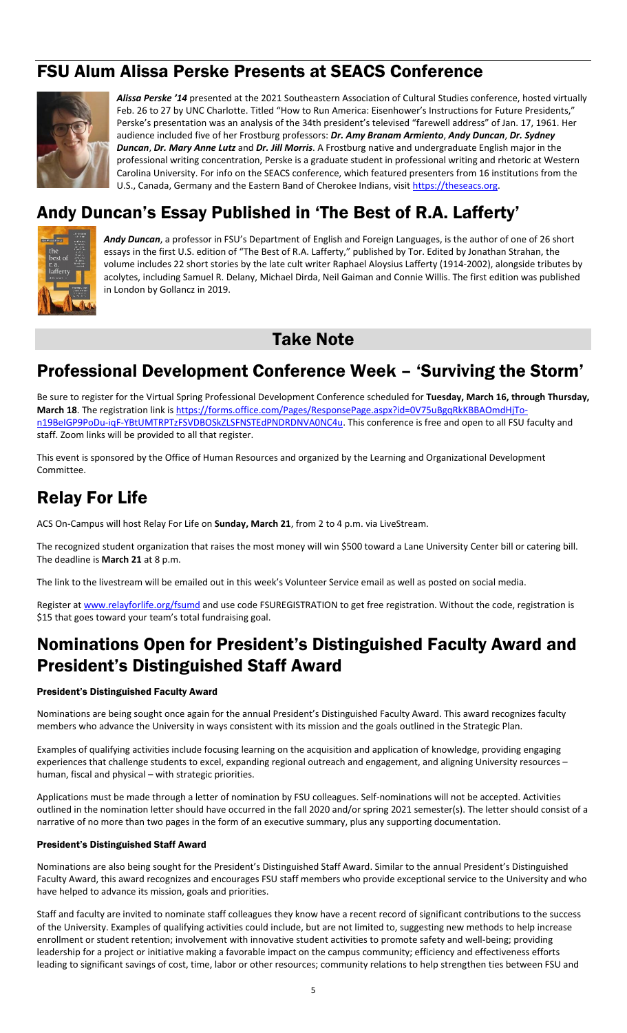### FSU Alum Alissa Perske Presents at SEACS Conference



*Alissa Perske '14* presented at the 2021 Southeastern Association of Cultural Studies conference, hosted virtually Feb. 26 to 27 by UNC Charlotte. Titled "How to Run America: Eisenhower's Instructions for Future Presidents," Perske's presentation was an analysis of the 34th president's televised "farewell address" of Jan. 17, 1961. Her audience included five of her Frostburg professors: *Dr. Amy Branam Armiento*, *Andy Duncan*, *Dr. Sydney Duncan*, *Dr. Mary Anne Lutz* and *Dr. Jill Morris*. A Frostburg native and undergraduate English major in the professional writing concentration, Perske is a graduate student in professional writing and rhetoric at Western Carolina University. For info on the SEACS conference, which featured presenters from 16 institutions from the U.S., Canada, Germany and the Eastern Band of Cherokee Indians, visit [https://theseacs.org.](https://theseacs.org/)

# Andy Duncan's Essay Published in 'The Best of R.A. Lafferty'



*Andy Duncan*, a professor in FSU's Department of English and Foreign Languages, is the author of one of 26 short essays in the first U.S. edition of "The Best of R.A. Lafferty," published by Tor. Edited by Jonathan Strahan, the volume includes 22 short stories by the late cult writer Raphael Aloysius Lafferty (1914-2002), alongside tributes by acolytes, including Samuel R. Delany, Michael Dirda, Neil Gaiman and Connie Willis. The first edition was published in London by Gollancz in 2019.

#### Take Note

### Professional Development Conference Week – 'Surviving the Storm'

Be sure to register for the Virtual Spring Professional Development Conference scheduled for **Tuesday, March 16, through Thursday, March 18**. The registration link is [https://forms.office.com/Pages/ResponsePage.aspx?id=0V75uBgqRkKBBAOmdHjTo](https://forms.office.com/Pages/ResponsePage.aspx?id=0V75uBgqRkKBBAOmdHjTo-n19BeIGP9PoDu-iqF-YBtUMTRPTzFSVDBOSkZLSFNSTEdPNDRDNVA0NC4u)[n19BeIGP9PoDu-iqF-YBtUMTRPTzFSVDBOSkZLSFNSTEdPNDRDNVA0NC4u.](https://forms.office.com/Pages/ResponsePage.aspx?id=0V75uBgqRkKBBAOmdHjTo-n19BeIGP9PoDu-iqF-YBtUMTRPTzFSVDBOSkZLSFNSTEdPNDRDNVA0NC4u) This conference is free and open to all FSU faculty and staff. Zoom links will be provided to all that register.

This event is sponsored by the Office of Human Resources and organized by the Learning and Organizational Development Committee.

## Relay For Life

ACS On-Campus will host Relay For Life on **Sunday, March 21**, from 2 to 4 p.m. via LiveStream.

The recognized student organization that raises the most money will win \$500 toward a Lane University Center bill or catering bill. The deadline is **March 21** at 8 p.m.

The link to the livestream will be emailed out in this week's Volunteer Service email as well as posted on social media.

Register at [www.relayforlife.org/fsumd](http://www.relayforlife.org/fsumd) and use code FSUREGISTRATION to get free registration. Without the code, registration is \$15 that goes toward your team's total fundraising goal.

## Nominations Open for President's Distinguished Faculty Award and President's Distinguished Staff Award

#### President's Distinguished Faculty Award

Nominations are being sought once again for the annual President's Distinguished Faculty Award. This award recognizes faculty members who advance the University in ways consistent with its mission and the goals outlined in the Strategic Plan.

Examples of qualifying activities include focusing learning on the acquisition and application of knowledge, providing engaging experiences that challenge students to excel, expanding regional outreach and engagement, and aligning University resources – human, fiscal and physical – with strategic priorities.

Applications must be made through a letter of nomination by FSU colleagues. Self-nominations will not be accepted. Activities outlined in the nomination letter should have occurred in the fall 2020 and/or spring 2021 semester(s). The letter should consist of a narrative of no more than two pages in the form of an executive summary, plus any supporting documentation.

#### President's Distinguished Staff Award

Nominations are also being sought for the President's Distinguished Staff Award. Similar to the annual President's Distinguished Faculty Award, this award recognizes and encourages FSU staff members who provide exceptional service to the University and who have helped to advance its mission, goals and priorities.

Staff and faculty are invited to nominate staff colleagues they know have a recent record of significant contributions to the success of the University. Examples of qualifying activities could include, but are not limited to, suggesting new methods to help increase enrollment or student retention; involvement with innovative student activities to promote safety and well-being; providing leadership for a project or initiative making a favorable impact on the campus community; efficiency and effectiveness efforts leading to significant savings of cost, time, labor or other resources; community relations to help strengthen ties between FSU and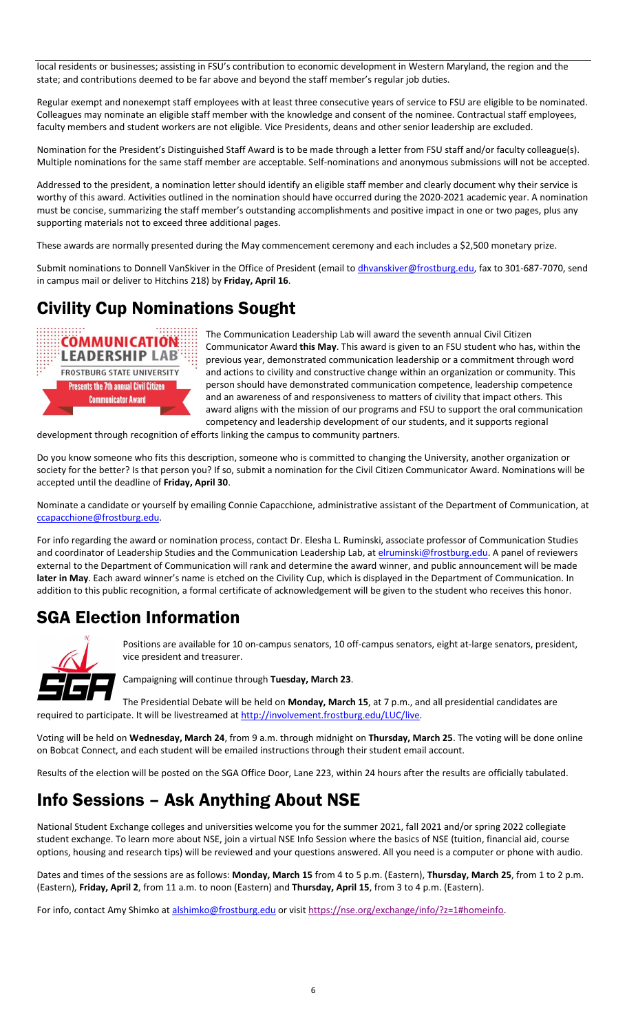local residents or businesses; assisting in FSU's contribution to economic development in Western Maryland, the region and the state; and contributions deemed to be far above and beyond the staff member's regular job duties.

Regular exempt and nonexempt staff employees with at least three consecutive years of service to FSU are eligible to be nominated. Colleagues may nominate an eligible staff member with the knowledge and consent of the nominee. Contractual staff employees, faculty members and student workers are not eligible. Vice Presidents, deans and other senior leadership are excluded.

Nomination for the President's Distinguished Staff Award is to be made through a letter from FSU staff and/or faculty colleague(s). Multiple nominations for the same staff member are acceptable. Self-nominations and anonymous submissions will not be accepted.

Addressed to the president, a nomination letter should identify an eligible staff member and clearly document why their service is worthy of this award. Activities outlined in the nomination should have occurred during the 2020-2021 academic year. A nomination must be concise, summarizing the staff member's outstanding accomplishments and positive impact in one or two pages, plus any supporting materials not to exceed three additional pages.

These awards are normally presented during the May commencement ceremony and each includes a \$2,500 monetary prize.

Submit nominations to Donnell VanSkiver in the Office of President (email to *dhvanskiver@frostburg.edu*, fax to 301-687-7070, send in campus mail or deliver to Hitchins 218) by **Friday, April 16**.

# Civility Cup Nominations Sought



The Communication Leadership Lab will award the seventh annual Civil Citizen Communicator Award **this May**. This award is given to an FSU student who has, within the previous year, demonstrated communication leadership or a commitment through word and actions to civility and constructive change within an organization or community. This person should have demonstrated communication competence, leadership competence and an awareness of and responsiveness to matters of civility that impact others. This award aligns with the mission of our programs and FSU to support the oral communication competency and leadership development of our students, and it supports regional

development through recognition of efforts linking the campus to community partners.

Do you know someone who fits this description, someone who is committed to changing the University, another organization or society for the better? Is that person you? If so, submit a nomination for the Civil Citizen Communicator Award. Nominations will be accepted until the deadline of **Friday, April 30**.

Nominate a candidate or yourself by emailing Connie Capacchione, administrative assistant of the Department of Communication, at [ccapacchione@frostburg.edu.](mailto:ccapacchione@frostburg.edu)

For info regarding the award or nomination process, contact Dr. Elesha L. Ruminski, associate professor of Communication Studies and coordinator of Leadership Studies and the Communication Leadership Lab, at [elruminski@frostburg.edu.](mailto:elruminski@frostburg.edu) A panel of reviewers external to the Department of Communication will rank and determine the award winner, and public announcement will be made **later in May**. Each award winner's name is etched on the Civility Cup, which is displayed in the Department of Communication. In addition to this public recognition, a formal certificate of acknowledgement will be given to the student who receives this honor.

## SGA Election Information



Positions are available for 10 on-campus senators, 10 off-campus senators, eight at-large senators, president, vice president and treasurer.

Campaigning will continue through **Tuesday, March 23**.

The Presidential Debate will be held on **Monday, March 15**, at 7 p.m., and all presidential candidates are required to participate. It will be livestreamed a[t http://involvement.frostburg.edu/LUC/live.](http://involvement.frostburg.edu/LUC/live)

Voting will be held on **Wednesday, March 24**, from 9 a.m. through midnight on **Thursday, March 25**. The voting will be done online on Bobcat Connect, and each student will be emailed instructions through their student email account.

Results of the election will be posted on the SGA Office Door, Lane 223, within 24 hours after the results are officially tabulated.

# Info Sessions – Ask Anything About NSE

National Student Exchange colleges and universities welcome you for the summer 2021, fall 2021 and/or spring 2022 collegiate student exchange. To learn more about NSE, join a virtual NSE Info Session where the basics of NSE (tuition, financial aid, course options, housing and research tips) will be reviewed and your questions answered. All you need is a computer or phone with audio.

Dates and times of the sessions are as follows: **Monday, March 15** from 4 to 5 p.m. (Eastern), **Thursday, March 25**, from 1 to 2 p.m. (Eastern), **Friday, April 2**, from 11 a.m. to noon (Eastern) and **Thursday, April 15**, from 3 to 4 p.m. (Eastern).

For info, contact Amy Shimko at [alshimko@frostburg.edu](mailto:alshimko@frostburg.edu) or visit [https://nse.org/exchange/info/?z=1#homeinfo.](https://nse.org/exchange/info/?z=1#homeinfo)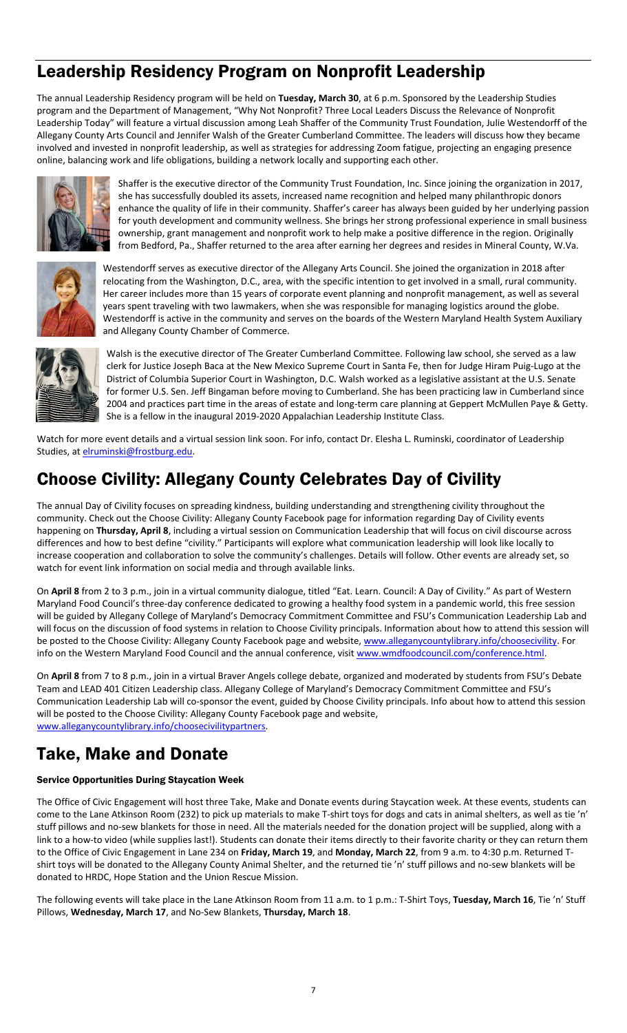## Leadership Residency Program on Nonprofit Leadership

The annual Leadership Residency program will be held on **Tuesday, March 30**, at 6 p.m. Sponsored by the Leadership Studies program and the Department of Management, "Why Not Nonprofit? Three Local Leaders Discuss the Relevance of Nonprofit Leadership Today" will feature a virtual discussion among Leah Shaffer of the Community Trust Foundation, Julie Westendorff of the Allegany County Arts Council and Jennifer Walsh of the Greater Cumberland Committee. The leaders will discuss how they became involved and invested in nonprofit leadership, as well as strategies for addressing Zoom fatigue, projecting an engaging presence online, balancing work and life obligations, building a network locally and supporting each other.



Shaffer is the executive director of the Community Trust Foundation, Inc. Since joining the organization in 2017, she has successfully doubled its assets, increased name recognition and helped many philanthropic donors enhance the quality of life in their community. Shaffer's career has always been guided by her underlying passion for youth development and community wellness. She brings her strong professional experience in small business ownership, grant management and nonprofit work to help make a positive difference in the region. Originally from Bedford, Pa., Shaffer returned to the area after earning her degrees and resides in Mineral County, W.Va.



Westendorff serves as executive director of the Allegany Arts Council. She joined the organization in 2018 after relocating from the Washington, D.C., area, with the specific intention to get involved in a small, rural community. Her career includes more than 15 years of corporate event planning and nonprofit management, as well as several years spent traveling with two lawmakers, when she was responsible for managing logistics around the globe. Westendorff is active in the community and serves on the boards of the Western Maryland Health System Auxiliary and Allegany County Chamber of Commerce.



Walsh is the executive director of The Greater Cumberland Committee. Following law school, she served as a law clerk for Justice Joseph Baca at the New Mexico Supreme Court in Santa Fe, then for Judge Hiram Puig-Lugo at the District of Columbia Superior Court in Washington, D.C. Walsh worked as a legislative assistant at the U.S. Senate for former U.S. Sen. Jeff Bingaman before moving to Cumberland. She has been practicing law in Cumberland since 2004 and practices part time in the areas of estate and long-term care planning at Geppert McMullen Paye & Getty. She is a fellow in the inaugural 2019-2020 Appalachian Leadership Institute Class.

Watch for more event details and a virtual session link soon. For info, contact Dr. Elesha L. Ruminski, coordinator of Leadership Studies, at [elruminski@frostburg.edu.](mailto:elruminski@frostburg.edu)

# Choose Civility: Allegany County Celebrates Day of Civility

The annual Day of Civility focuses on spreading kindness, building understanding and strengthening civility throughout the community. Check out the Choose Civility: Allegany County Facebook page for information regarding Day of Civility events happening on **Thursday, April 8**, including a virtual session on Communication Leadership that will focus on civil discourse across differences and how to best define "civility." Participants will explore what communication leadership will look like locally to increase cooperation and collaboration to solve the community's challenges. Details will follow. Other events are already set, so watch for event link information on social media and through available links.

On **April 8** from 2 to 3 p.m., join in a virtual community dialogue, titled "Eat. Learn. Council: A Day of Civility." As part of Western Maryland Food Council's three-day conference dedicated to growing a healthy food system in a pandemic world, this free session will be guided by Allegany College of Maryland's Democracy Commitment Committee and FSU's Communication Leadership Lab and will focus on the discussion of food systems in relation to Choose Civility principals. Information about how to attend this session will be posted to the Choose Civility: Allegany County Facebook page and website, [www.alleganycountylibrary.info/choosecivility.](http://www.alleganycountylibrary.info/choosecivility) For info on the Western Maryland Food Council and the annual conference, visit www.wmdfoodcouncil.com/conference.html.

On **April 8** from 7 to 8 p.m., join in a virtual Braver Angels college debate, organized and moderated by students from FSU's Debate Team and LEAD 401 Citizen Leadership class. Allegany College of Maryland's Democracy Commitment Committee and FSU's Communication Leadership Lab will co-sponsor the event, guided by Choose Civility principals. Info about how to attend this session will be posted to the Choose Civility: Allegany County Facebook page and website, [www.alleganycountylibrary.info/choosecivilitypartners.](http://www.alleganycountylibrary.info/choosecivilitypartners)

## Take, Make and Donate

#### Service Opportunities During Staycation Week

The Office of Civic Engagement will host three Take, Make and Donate events during Staycation week. At these events, students can come to the Lane Atkinson Room (232) to pick up materials to make T-shirt toys for dogs and cats in animal shelters, as well as tie 'n' stuff pillows and no-sew blankets for those in need. All the materials needed for the donation project will be supplied, along with a link to a how-to video (while supplies last!). Students can donate their items directly to their favorite charity or they can return them to the Office of Civic Engagement in Lane 234 on **Friday, March 19**, and **Monday, March 22**, from 9 a.m. to 4:30 p.m. Returned Tshirt toys will be donated to the Allegany County Animal Shelter, and the returned tie 'n' stuff pillows and no-sew blankets will be donated to HRDC, Hope Station and the Union Rescue Mission.

The following events will take place in the Lane Atkinson Room from 11 a.m. to 1 p.m.: T-Shirt Toys, **Tuesday, March 16**, Tie 'n' Stuff Pillows, **Wednesday, March 17**, and No-Sew Blankets, **Thursday, March 18**.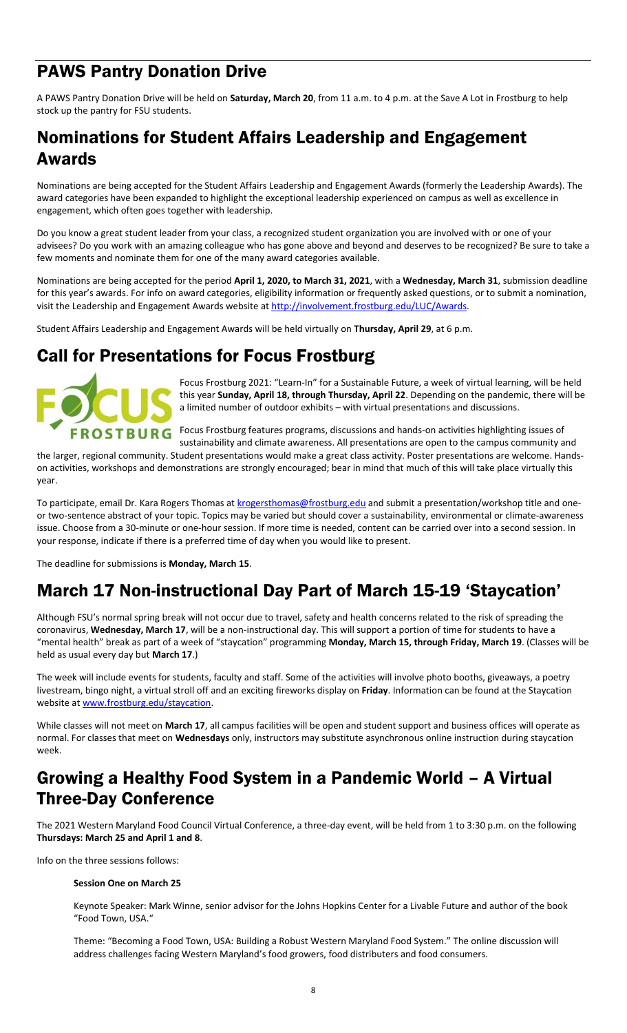## PAWS Pantry Donation Drive

A PAWS Pantry Donation Drive will be held on **Saturday, March 20**, from 11 a.m. to 4 p.m. at the Save A Lot in Frostburg to help stock up the pantry for FSU students.

### Nominations for Student Affairs Leadership and Engagement Awards

Nominations are being accepted for the Student Affairs Leadership and Engagement Awards (formerly the Leadership Awards). The award categories have been expanded to highlight the exceptional leadership experienced on campus as well as excellence in engagement, which often goes together with leadership.

Do you know a great student leader from your class, a recognized student organization you are involved with or one of your advisees? Do you work with an amazing colleague who has gone above and beyond and deserves to be recognized? Be sure to take a few moments and nominate them for one of the many award categories available.

Nominations are being accepted for the period **April 1, 2020, to March 31, 2021**, with a **Wednesday, March 31**, submission deadline for this year's awards. For info on award categories, eligibility information or frequently asked questions, or to submit a nomination, visit the Leadership and Engagement Awards website at [http://involvement.frostburg.edu/LUC/Awards.](http://involvement.frostburg.edu/LUC/Awards)

Student Affairs Leadership and Engagement Awards will be held virtually on **Thursday, April 29**, at 6 p.m.

## Call for Presentations for Focus Frostburg



Focus Frostburg 2021: "Learn-In" for a Sustainable Future, a week of virtual learning, will be held this year **Sunday, April 18, through Thursday, April 22**. Depending on the pandemic, there will be a limited number of outdoor exhibits – with virtual presentations and discussions.

Focus Frostburg features programs, discussions and hands-on activities highlighting issues of

sustainability and climate awareness. All presentations are open to the campus community and the larger, regional community. Student presentations would make a great class activity. Poster presentations are welcome. Handson activities, workshops and demonstrations are strongly encouraged; bear in mind that much of this will take place virtually this year.

To participate, email Dr. Kara Rogers Thomas a[t krogersthomas@frostburg.edu](mailto:krogersthomas@frostburg.edu) and submit a presentation/workshop title and oneor two-sentence abstract of your topic. Topics may be varied but should cover a sustainability, environmental or climate-awareness issue. Choose from a 30-minute or one-hour session. If more time is needed, content can be carried over into a second session. In your response, indicate if there is a preferred time of day when you would like to present.

The deadline for submissions is **Monday, March 15**.

# March 17 Non-instructional Day Part of March 15-19 'Staycation'

Although FSU's normal spring break will not occur due to travel, safety and health concerns related to the risk of spreading the coronavirus, **Wednesday, March 17**, will be a non-instructional day. This will support a portion of time for students to have a "mental health" break as part of a week of "staycation" programming **Monday, March 15, through Friday, March 19**. (Classes will be held as usual every day but **March 17**.)

The week will include events for students, faculty and staff. Some of the activities will involve photo booths, giveaways, a poetry livestream, bingo night, a virtual stroll off and an exciting fireworks display on **Friday**. Information can be found at the Staycation website a[t www.frostburg.edu/staycation.](http://www.frostburg.edu/staycation)

While classes will not meet on **March 17**, all campus facilities will be open and student support and business offices will operate as normal. For classes that meet on **Wednesdays** only, instructors may substitute asynchronous online instruction during staycation week.

### Growing a Healthy Food System in a Pandemic World – A Virtual Three-Day Conference

The 2021 Western Maryland Food Council Virtual Conference, a three-day event, will be held from 1 to 3:30 p.m. on the following **Thursdays: March 25 and April 1 and 8**.

Info on the three sessions follows:

#### **Session One on March 25**

Keynote Speaker: Mark Winne, senior advisor for the Johns Hopkins Center for a Livable Future and author of the book "Food Town, USA."

Theme: "Becoming a Food Town, USA: Building a Robust Western Maryland Food System." The online discussion will address challenges facing Western Maryland's food growers, food distributers and food consumers.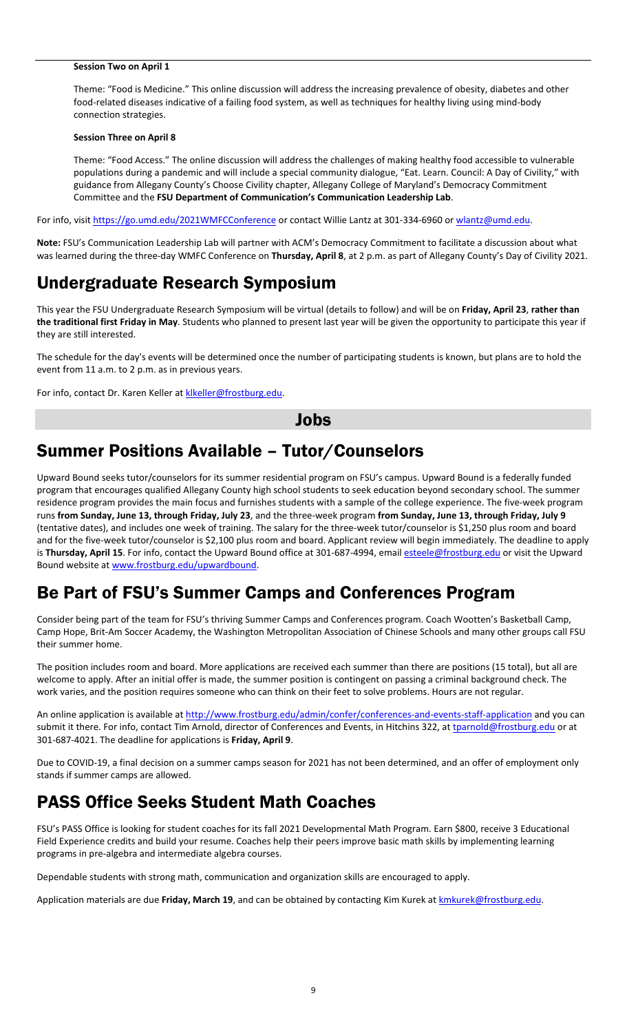#### **Session Two on April 1**

Theme: "Food is Medicine." This online discussion will address the increasing prevalence of obesity, diabetes and other food-related diseases indicative of a failing food system, as well as techniques for healthy living using mind-body connection strategies.

#### **Session Three on April 8**

Theme: "Food Access." The online discussion will address the challenges of making healthy food accessible to vulnerable populations during a pandemic and will include a special community dialogue, "Eat. Learn. Council: A Day of Civility," with guidance from Allegany County's Choose Civility chapter, Allegany College of Maryland's Democracy Commitment Committee and the **FSU Department of Communication's Communication Leadership Lab**.

For info, visit<https://go.umd.edu/2021WMFCConference> or contact Willie Lantz at 301-334-6960 o[r wlantz@umd.edu.](mailto:wlantz@umd.edu)

**Note:** FSU's Communication Leadership Lab will partner with ACM's Democracy Commitment to facilitate a discussion about what was learned during the three-day WMFC Conference on **Thursday, April 8**, at 2 p.m. as part of Allegany County's Day of Civility 2021.

#### Undergraduate Research Symposium

This year the FSU Undergraduate Research Symposium will be virtual (details to follow) and will be on **Friday, April 23**, **rather than the traditional first Friday in May**. Students who planned to present last year will be given the opportunity to participate this year if they are still interested.

The schedule for the day's events will be determined once the number of participating students is known, but plans are to hold the event from 11 a.m. to 2 p.m. as in previous years.

For info, contact Dr. Karen Keller at klkeller@frostburg.edu.

#### Jobs

### Summer Positions Available – Tutor/Counselors

Upward Bound seeks tutor/counselors for its summer residential program on FSU's campus. Upward Bound is a federally funded program that encourages qualified Allegany County high school students to seek education beyond secondary school. The summer residence program provides the main focus and furnishes students with a sample of the college experience. The five-week program runs **from Sunday, June 13, through Friday, July 23**, and the three-week program **from Sunday, June 13, through Friday, July 9** (tentative dates), and includes one week of training. The salary for the three-week tutor/counselor is \$1,250 plus room and board and for the five-week tutor/counselor is \$2,100 plus room and board. Applicant review will begin immediately. The deadline to apply is Thursday, April 15. For info, contact the Upward Bound office at 301-687-4994, emai[l esteele@frostburg.edu](mailto:esteele@frostburg.edu) or visit the Upward Bound website a[t www.frostburg.edu/upwardbound.](http://www.frostburg.edu/upwardbound) 

#### Be Part of FSU's Summer Camps and Conferences Program

Consider being part of the team for FSU's thriving Summer Camps and Conferences program. Coach Wootten's Basketball Camp, Camp Hope, Brit-Am Soccer Academy, the Washington Metropolitan Association of Chinese Schools and many other groups call FSU their summer home.

The position includes room and board. More applications are received each summer than there are positions (15 total), but all are welcome to apply. After an initial offer is made, the summer position is contingent on passing a criminal background check. The work varies, and the position requires someone who can think on their feet to solve problems. Hours are not regular.

An online application is available a[t http://www.frostburg.edu/admin/confer/conferences-and-events-staff-application](http://www.frostburg.edu/admin/confer/conferences-and-events-staff-application) and you can submit it there. For info, contact Tim Arnold, director of Conferences and Events, in Hitchins 322, at *tparnold@frostburg.edu* or at 301-687-4021. The deadline for applications is **Friday, April 9**.

Due to COVID-19, a final decision on a summer camps season for 2021 has not been determined, and an offer of employment only stands if summer camps are allowed.

## PASS Office Seeks Student Math Coaches

FSU's PASS Office is looking for student coaches for its fall 2021 Developmental Math Program. Earn \$800, receive 3 Educational Field Experience credits and build your resume. Coaches help their peers improve basic math skills by implementing learning programs in pre-algebra and intermediate algebra courses.

Dependable students with strong math, communication and organization skills are encouraged to apply.

Application materials are due Friday, March 19, and can be obtained by contacting Kim Kurek at **kmkurek@frostburg.edu**.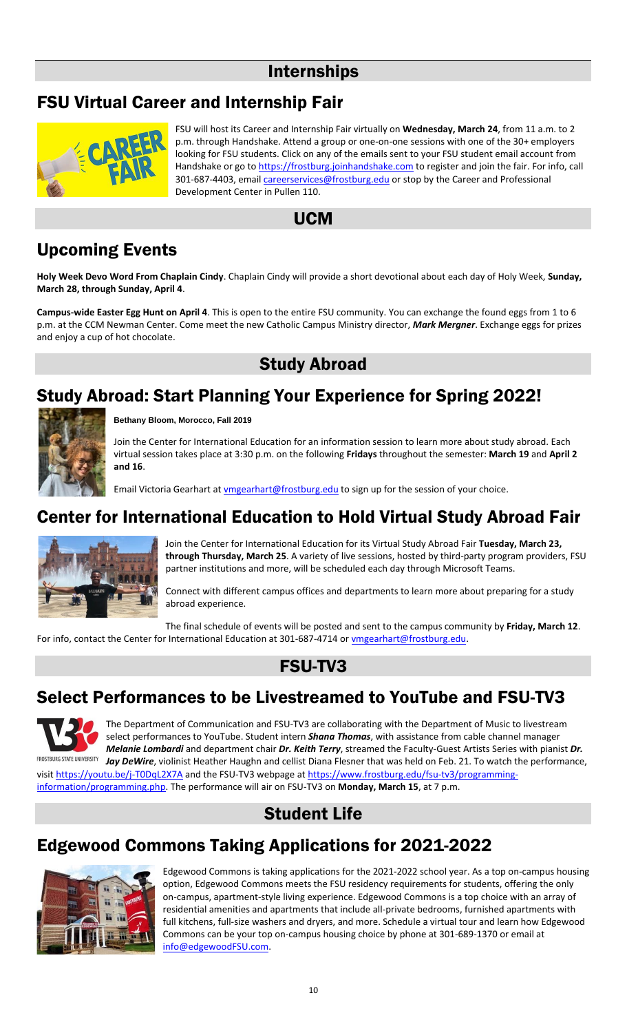#### Internships

## FSU Virtual Career and Internship Fair



FSU will host its Career and Internship Fair virtually on **Wednesday, March 24**, from 11 a.m. to 2 p.m. through Handshake. Attend a group or one-on-one sessions with one of the 30+ employers looking for FSU students. Click on any of the emails sent to your FSU student email account from Handshake or go t[o https://frostburg.joinhandshake.com](https://frostburg.joinhandshake.com/) to register and join the fair. For info, call 301-687-4403, email *careerservices@frostburg.edu* or stop by the Career and Professional Development Center in Pullen 110.

#### UCM

# Upcoming Events

**Holy Week Devo Word From Chaplain Cindy**. Chaplain Cindy will provide a short devotional about each day of Holy Week, **Sunday, March 28, through Sunday, April 4**.

**Campus-wide Easter Egg Hunt on April 4**. This is open to the entire FSU community. You can exchange the found eggs from 1 to 6 p.m. at the CCM Newman Center. Come meet the new Catholic Campus Ministry director, *Mark Mergner*. Exchange eggs for prizes and enjoy a cup of hot chocolate.

## Study Abroad

## Study Abroad: Start Planning Your Experience for Spring 2022!



**Bethany Bloom, Morocco, Fall 2019**

Join the Center for International Education for an information session to learn more about study abroad. Each virtual session takes place at 3:30 p.m. on the following **Fridays** throughout the semester: **March 19** and **April 2 and 16**.

Email Victoria Gearhart a[t vmgearhart@frostburg.edu](mailto:vmgearhart@frostburg.edu) to sign up for the session of your choice.

## Center for International Education to Hold Virtual Study Abroad Fair



Join the Center for International Education for its Virtual Study Abroad Fair **Tuesday, March 23, through Thursday, March 25**. A variety of live sessions, hosted by third-party program providers, FSU partner institutions and more, will be scheduled each day through Microsoft Teams.

Connect with different campus offices and departments to learn more about preparing for a study abroad experience.

The final schedule of events will be posted and sent to the campus community by **Friday, March 12**. For info, contact the Center for International Education at 301-687-4714 or [vmgearhart@frostburg.edu.](mailto:vmgearhart@frostburg.edu)

## FSU-TV3

## Select Performances to be Livestreamed to YouTube and FSU-TV3



The Department of Communication and FSU-TV3 are collaborating with the Department of Music to livestream select performances to YouTube. Student intern *Shana Thomas*, with assistance from cable channel manager *Melanie Lombardi* and department chair *Dr. Keith Terry*, streamed the Faculty-Guest Artists Series with pianist *Dr. Jay DeWire*, violinist Heather Haughn and cellist Diana Flesner that was held on Feb. 21. To watch the performance,

visit <https://youtu.be/j-T0DqL2X7A> and the FSU-TV3 webpage a[t https://www.frostburg.edu/fsu-tv3/programming](https://www.frostburg.edu/fsu-tv3/programming-information/programming.php)[information/programming.php.](https://www.frostburg.edu/fsu-tv3/programming-information/programming.php) The performance will air on FSU-TV3 on **Monday, March 15**, at 7 p.m.

## Student Life

## Edgewood Commons Taking Applications for 2021-2022



Edgewood Commons is taking applications for the 2021-2022 school year. As a top on-campus housing option, Edgewood Commons meets the FSU residency requirements for students, offering the only on-campus, apartment-style living experience. Edgewood Commons is a top choice with an array of residential amenities and apartments that include all-private bedrooms, furnished apartments with full kitchens, full-size washers and dryers, and more. Schedule a virtual tour and learn how Edgewood Commons can be your top on-campus housing choice by phone at 301-689-1370 or email at [info@edgewoodFSU.com.](mailto:info@edgewoodFSU.com)